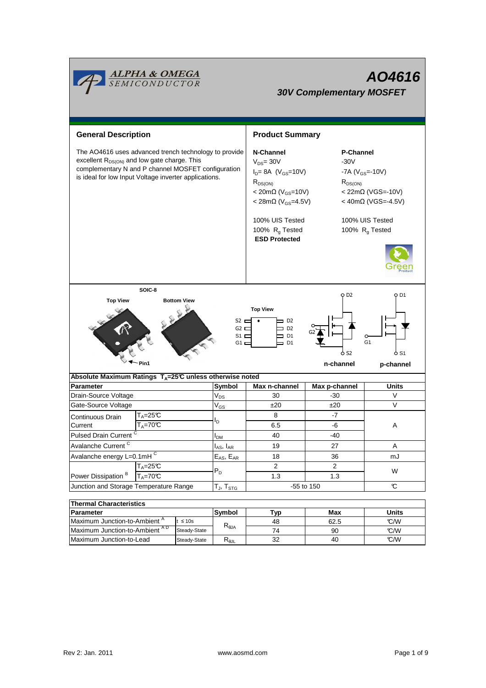

| THEITHAI UNATAUGHSUUS                    |              |                  |          |      |              |  |  |  |  |
|------------------------------------------|--------------|------------------|----------|------|--------------|--|--|--|--|
| <b>Parameter</b>                         |              | Symbol<br>Typ.   |          | Max  | <b>Units</b> |  |  |  |  |
| Maximum Junction-to-Ambient <sup>^</sup> | ≤ 10s        |                  | 48       | 62.5 | C/M          |  |  |  |  |
| Maximum Junction-to-Ambient AD           | Steady-State | Alθ <sup>7</sup> | 74       | 90   | C/M          |  |  |  |  |
| Maximum Junction-to-Lead                 | Steady-State | ∿θJL             | つつ<br>ےت | 40   | C/M          |  |  |  |  |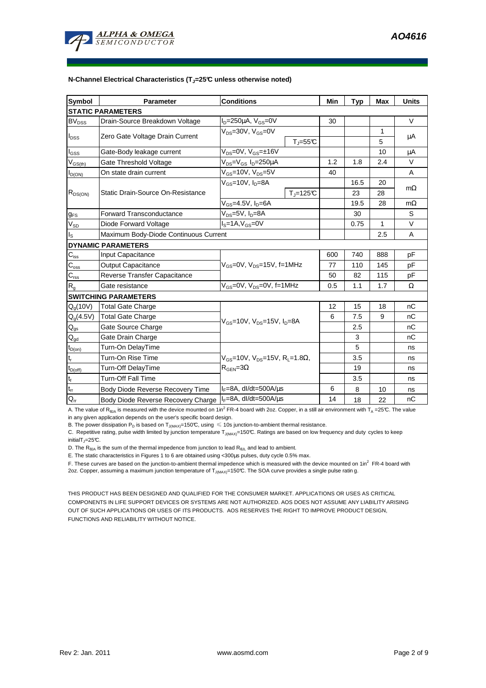

| Symbol                        | <b>Parameter</b>                      | <b>Conditions</b>                                                                                 |                     | Min | Typ  | <b>Max</b> | <b>Units</b> |  |  |
|-------------------------------|---------------------------------------|---------------------------------------------------------------------------------------------------|---------------------|-----|------|------------|--------------|--|--|
| <b>STATIC PARAMETERS</b>      |                                       |                                                                                                   |                     |     |      |            |              |  |  |
| <b>BV<sub>DSS</sub></b>       | Drain-Source Breakdown Voltage        | $I_D = 250 \mu A$ , $V_{GS} = 0V$                                                                 |                     | 30  |      |            | V            |  |  |
| $I_{DSS}$                     | Zero Gate Voltage Drain Current       | $V_{DS}$ =30V, $V_{GS}$ =0V<br>$T_{J} = 55^{\circ}C$                                              |                     |     |      | 1          | μA           |  |  |
|                               |                                       |                                                                                                   |                     |     |      | 5          |              |  |  |
| l <sub>GSS</sub>              | Gate-Body leakage current             | $V_{DS} = 0V$ , $V_{GS} = \pm 16V$                                                                |                     |     |      | 10         | μA           |  |  |
| $V_{GS(th)}$                  | Gate Threshold Voltage                | $V_{DS} = V_{GS} I_D = 250 \mu A$                                                                 |                     | 1.2 | 1.8  | 2.4        | V            |  |  |
| $I_{D(ON)}$                   | On state drain current                | $V_{GS}$ =10V, $V_{DS}$ =5V                                                                       |                     | 40  |      |            | A            |  |  |
| $R_{DS(ON)}$                  | Static Drain-Source On-Resistance     | $V_{GS}$ =10V, $I_D$ =8A                                                                          |                     |     | 16.5 | 20         |              |  |  |
|                               |                                       |                                                                                                   | $T_i = 125^\circ C$ |     | 23   | 28         | $m\Omega$    |  |  |
|                               |                                       | $V_{GS}$ =4.5V, $I_D$ =6A                                                                         |                     |     | 19.5 | 28         | $m\Omega$    |  |  |
| $g_{FS}$                      | <b>Forward Transconductance</b>       | $V_{DS}=5V$ , $I_D=8A$                                                                            |                     |     | 30   |            | S            |  |  |
| $V_{SD}$                      | Diode Forward Voltage                 | $IS=1A, VGS=0V$                                                                                   |                     |     | 0.75 | 1          | $\vee$       |  |  |
| $I_{\rm S}$                   | Maximum Body-Diode Continuous Current |                                                                                                   |                     |     |      | 2.5        | A            |  |  |
| <b>DYNAMIC PARAMETERS</b>     |                                       |                                                                                                   |                     |     |      |            |              |  |  |
| $C_{\rm iss}$                 | Input Capacitance                     | $V_{GS}$ =0V, $V_{DS}$ =15V, f=1MHz                                                               |                     | 600 | 740  | 888        | pF           |  |  |
| $C_{\rm oss}$                 | <b>Output Capacitance</b>             |                                                                                                   |                     | 77  | 110  | 145        | рF           |  |  |
| $C_{\text{rss}}$              | Reverse Transfer Capacitance          |                                                                                                   |                     | 50  | 82   | 115        | pF           |  |  |
| $R_{q}$                       | Gate resistance                       | $V_{GS}$ =0V, $V_{DS}$ =0V, f=1MHz                                                                |                     | 0.5 | 1.1  | 1.7        | Ω            |  |  |
|                               | <b>SWITCHING PARAMETERS</b>           |                                                                                                   |                     |     |      |            |              |  |  |
| $Q_q(10V)$                    | <b>Total Gate Charge</b>              | $V_{GS}$ =10V, $V_{DS}$ =15V, $I_{D}$ =8A                                                         |                     | 12  | 15   | 18         | nC           |  |  |
| $Q_q(4.5V)$                   | <b>Total Gate Charge</b>              |                                                                                                   |                     | 6   | 7.5  | 9          | nC           |  |  |
| $Q_{gs}$                      | Gate Source Charge                    |                                                                                                   |                     |     | 2.5  |            | nC           |  |  |
| $Q_{gd}$                      | Gate Drain Charge                     |                                                                                                   |                     |     | 3    |            | nC           |  |  |
| $t_{D(0n)}$                   | Turn-On DelayTime                     |                                                                                                   |                     |     | 5    |            | ns           |  |  |
| t,                            | Turn-On Rise Time                     | $V_{\text{GS}} = 10V$ , $V_{\text{DS}} = 15V$ , $R_1 = 1.8\Omega$ ,<br>$R_{\text{GEN}} = 3\Omega$ |                     |     | 3.5  |            | ns           |  |  |
| $t_{D(off)}$                  | Turn-Off DelayTime                    |                                                                                                   |                     |     | 19   |            | ns           |  |  |
| $\mathbf{t}_\text{f}$         | <b>Turn-Off Fall Time</b>             |                                                                                                   |                     |     | 3.5  |            | ns           |  |  |
| $\mathfrak{t}_{\mathfrak{m}}$ | Body Diode Reverse Recovery Time      | $I_F = 8A$ , dl/dt=500A/ $\mu$ s                                                                  |                     | 6   | 8    | 10         | ns           |  |  |
| $Q_{rr}$                      | Body Diode Reverse Recovery Charge    | $I_F = 8A$ , dl/dt=500A/us                                                                        |                     | 14  | 18   | 22         | nC           |  |  |

A. The value of R<sub>θJA</sub> is measured with the device mounted on 1in<sup>2</sup> FR-4 board with 2oz. Copper, in a still air environment with T<sub>A</sub> =25℃. The value in any given application depends on the user's specific board design.

B. The power dissipation P<sub>D</sub> is based on T<sub>J(MAX)</sub>=150°C, using  $\leq 10$ s junction-to-ambient thermal resistance.

C. Repetitive rating, pulse width limited by junction temperature  $T_{J(MAX)}=150$ °C. Ratings are based on low frequency and duty cycles to keep  $initialT_J=25^{\circ}C$ .

D. The  $R_{\theta JA}$  is the sum of the thermal impedence from junction to lead  $R_{\theta JL}$  and lead to ambient.

E. The static characteristics in Figures 1 to 6 are obtained using <300µs pulses, duty cycle 0.5% max.

F. These curves are based on the junction-to-ambient thermal impedence which is measured with the device mounted on 1in<sup>2</sup> FR-4 board with 2oz. Copper, assuming a maximum junction temperature of T<sub>J(MAX)</sub>=150°C. The SOA curve provides a single pulse ratin g.

THIS PRODUCT HAS BEEN DESIGNED AND QUALIFIED FOR THE CONSUMER MARKET. APPLICATIONS OR USES AS CRITICAL COMPONENTS IN LIFE SUPPORT DEVICES OR SYSTEMS ARE NOT AUTHORIZED. AOS DOES NOT ASSUME ANY LIABILITY ARISING OUT OF SUCH APPLICATIONS OR USES OF ITS PRODUCTS. AOS RESERVES THE RIGHT TO IMPROVE PRODUCT DESIGN, FUNCTIONS AND RELIABILITY WITHOUT NOTICE.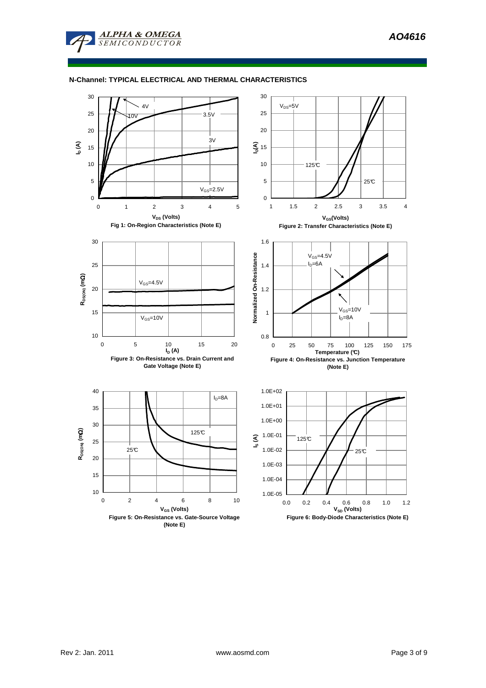

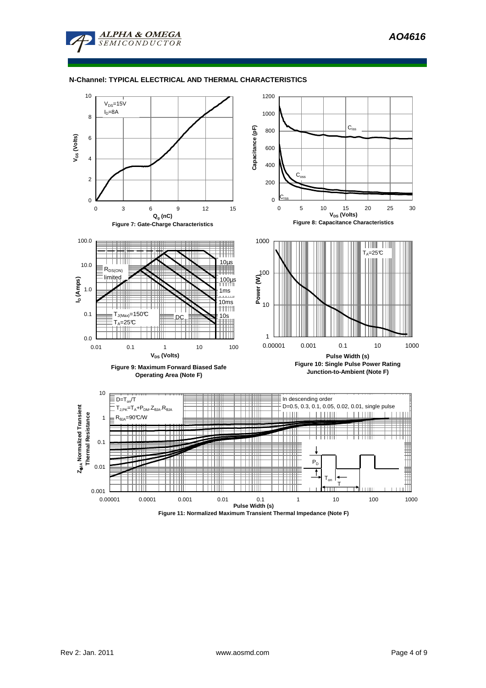



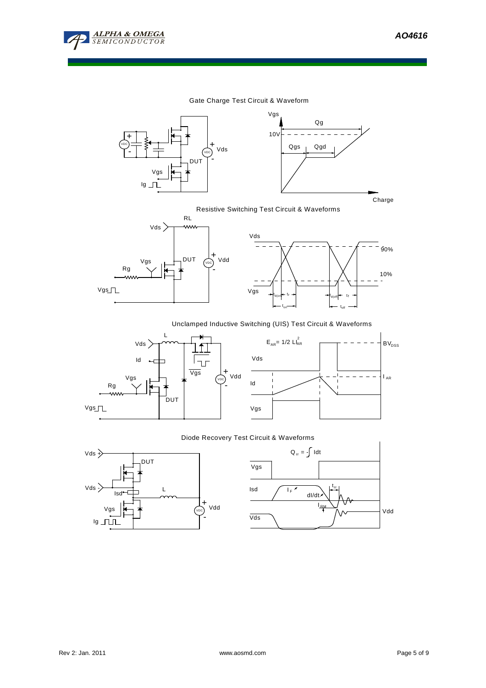

10%

90%

 $\overline{a}$ 

### Gate Charge Test Circuit & Waveform





Resistive Switching Test Circuit & Waveforms



# Unclamped Inductive Switching (UIS) Test Circuit & Waveforms





t<sub>off</sub>

#### Diode Recovery Test Circuit & Waveforms



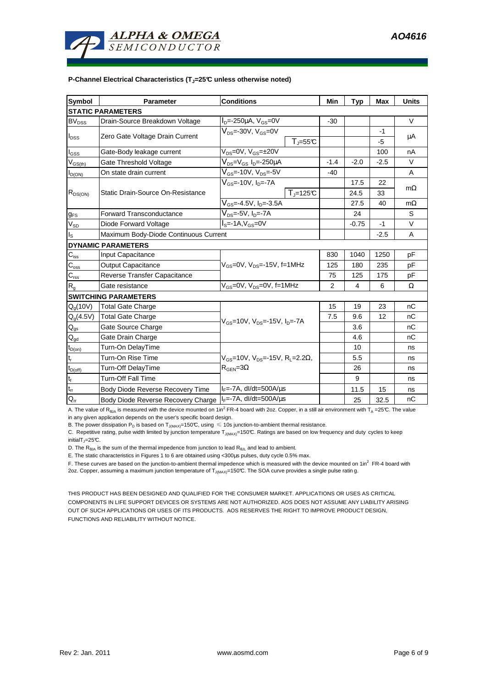

#### **P-Channel Electrical Characteristics (TJ=25°C unless otherwise noted)**

| <b>Symbol</b>                              | <b>Parameter</b>                      | <b>Conditions</b>                                                                                         |                | Min            | <b>Typ</b> | <b>Max</b> | <b>Units</b> |  |
|--------------------------------------------|---------------------------------------|-----------------------------------------------------------------------------------------------------------|----------------|----------------|------------|------------|--------------|--|
| <b>STATIC PARAMETERS</b>                   |                                       |                                                                                                           |                |                |            |            |              |  |
| <b>BV<sub>DSS</sub></b>                    | Drain-Source Breakdown Voltage        | $I_{D} = -250 \mu A$ , $V_{GS} = 0V$                                                                      |                | $-30$          |            |            | V            |  |
| $I_{DSS}$                                  | Zero Gate Voltage Drain Current       | $\rm V_{\rm DS}$ =-30V, V $\rm_{GS}$ =0V                                                                  |                |                |            | -1         | μA           |  |
|                                            |                                       |                                                                                                           | $T = 55C$      |                |            | -5         |              |  |
| $I_{GSS}$                                  | Gate-Body leakage current             | $V_{DS}=$ 0V, $V_{GS}=$ ±20V                                                                              |                |                |            | 100        | nA           |  |
| $\mathsf{V}_{\mathsf{GS}(\underline{th})}$ | Gate Threshold Voltage                | $\rm V_{\rm DS}$ = $\rm V_{\rm GS}$ I <sub>D</sub> =-250µA                                                |                | $-1.4$         | $-2.0$     | $-2.5$     | $\vee$       |  |
| $I_{D(ON)}$                                | On state drain current                | $V_{GS}$ =-10V, V <sub>DS</sub> =-5V                                                                      |                | $-40$          |            |            | Α            |  |
| $R_{DS(ON)}$                               | Static Drain-Source On-Resistance     | $V_{GS}$ =-10V, I <sub>D</sub> =-7A                                                                       |                |                | 17.5       | 22         |              |  |
|                                            |                                       |                                                                                                           | $T_{J}$ =125°C |                | 24.5       | 33         | $m\Omega$    |  |
|                                            |                                       | $\overline{V_{GS}}$ =-4.5 $V$ , I <sub>D</sub> =-3.5A                                                     |                |                | 27.5       | 40         | $m\Omega$    |  |
| $g_{FS}$                                   | <b>Forward Transconductance</b>       | $V_{DS}$ =-5V, I <sub>D</sub> =-7A                                                                        |                |                | 24         |            | S            |  |
| $V_{SD}$                                   | Diode Forward Voltage                 | $IS=-1A,VGS=0V$                                                                                           |                |                | $-0.75$    | $-1$       | $\vee$       |  |
| $I_{\text{S}}$                             | Maximum Body-Diode Continuous Current |                                                                                                           |                |                |            | $-2.5$     | Α            |  |
|                                            | <b>DYNAMIC PARAMETERS</b>             |                                                                                                           |                |                |            |            |              |  |
| $C_{\text{iss}}$                           | Input Capacitance                     | $V_{GS}$ =0V, $V_{DS}$ =-15V, f=1MHz                                                                      |                | 830            | 1040       | 1250       | pF           |  |
| $C_{\rm oss}$                              | <b>Output Capacitance</b>             |                                                                                                           |                | 125            | 180        | 235        | pF           |  |
| $\mathbf{C}_{\text{rss}}$                  | Reverse Transfer Capacitance          |                                                                                                           |                | 75             | 125        | 175        | pF           |  |
| $R_{g}$                                    | Gate resistance                       | $V_{GS}$ =0V, $V_{DS}$ =0V, f=1MHz                                                                        |                | $\overline{2}$ | 4          | 6          | $\Omega$     |  |
| <b>SWITCHING PARAMETERS</b>                |                                       |                                                                                                           |                |                |            |            |              |  |
| $Q_q(10V)$                                 | <b>Total Gate Charge</b>              | $V_{\text{GS}} = 10V$ , $V_{\text{DS}} = -15V$ , $I_{\text{DS}} = -7A$                                    |                | 15             | 19         | 23         | nC           |  |
| $Q_g(4.5V)$                                | <b>Total Gate Charge</b>              |                                                                                                           |                | 7.5            | 9.6        | 12         | nC           |  |
| $Q_{gs}$                                   | Gate Source Charge                    |                                                                                                           |                |                | 3.6        |            | пC           |  |
| $\mathsf{Q}_{\underline{\mathsf{gd}}}$     | Gate Drain Charge                     |                                                                                                           |                |                | 4.6        |            | nC           |  |
| $t_{D(on)}$                                | Turn-On DelayTime                     |                                                                                                           |                |                | 10         |            | ns           |  |
| $t_r$                                      | Turn-On Rise Time                     | $V_{\text{GS}}$ =10V, $V_{\text{DS}}$ =-15V, R <sub>1</sub> =2.2 $\Omega$ ,<br>$R_{\text{GEN}} = 3\Omega$ |                |                | 5.5        |            | ns           |  |
| $t_{D(\text{off})}$                        | Turn-Off DelayTime                    |                                                                                                           |                |                | 26         |            | ns           |  |
| $\mathbf{t}_\text{f}$                      | Turn-Off Fall Time                    |                                                                                                           |                |                | 9          |            | ns           |  |
| $t_{rr}$                                   | Body Diode Reverse Recovery Time      | $I_F$ =-7A, dl/dt=500A/ $\mu$ s                                                                           |                |                | 11.5       | 15         | ns           |  |
| $Q_{rr}$                                   | Body Diode Reverse Recovery Charge    | $I_F$ =-7A, dl/dt=500A/ $\mu$ s                                                                           |                |                | 25         | 32.5       | nC           |  |

A. The value of R<sub>θJA</sub> is measured with the device mounted on 1in<sup>2</sup> FR-4 board with 2oz. Copper, in a still air environment with T<sub>A</sub> =25℃. The value in any given application depends on the user's specific board design.

B. The power dissipation P<sub>D</sub> is based on T<sub>J(MAX)</sub>=150°C, using  $\leq 10$ s junction-to-ambient thermal resistance.

C. Repetitive rating, pulse width limited by junction temperature  $T_{J(MAX)}=150$ °C. Ratings are based on low frequency and duty cycles to keep  $initialT_J=25^{\circ}C$ .

D. The  $R_{\theta JA}$  is the sum of the thermal impedence from junction to lead  $R_{\theta JL}$  and lead to ambient.

E. The static characteristics in Figures 1 to 6 are obtained using <300µs pulses, duty cycle 0.5% max.

F. These curves are based on the junction-to-ambient thermal impedence which is measured with the device mounted on 1in<sup>2</sup> FR-4 board with 2oz. Copper, assuming a maximum junction temperature of T<sub>J(MAX)</sub>=150°C. The SOA curve provides a single pulse ratin g.

THIS PRODUCT HAS BEEN DESIGNED AND QUALIFIED FOR THE CONSUMER MARKET. APPLICATIONS OR USES AS CRITICAL COMPONENTS IN LIFE SUPPORT DEVICES OR SYSTEMS ARE NOT AUTHORIZED. AOS DOES NOT ASSUME ANY LIABILITY ARISING OUT OF SUCH APPLICATIONS OR USES OF ITS PRODUCTS. AOS RESERVES THE RIGHT TO IMPROVE PRODUCT DESIGN, FUNCTIONS AND RELIABILITY WITHOUT NOTICE.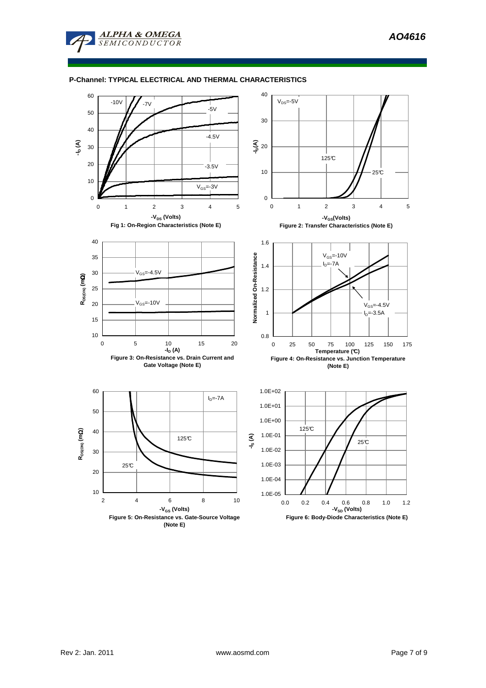

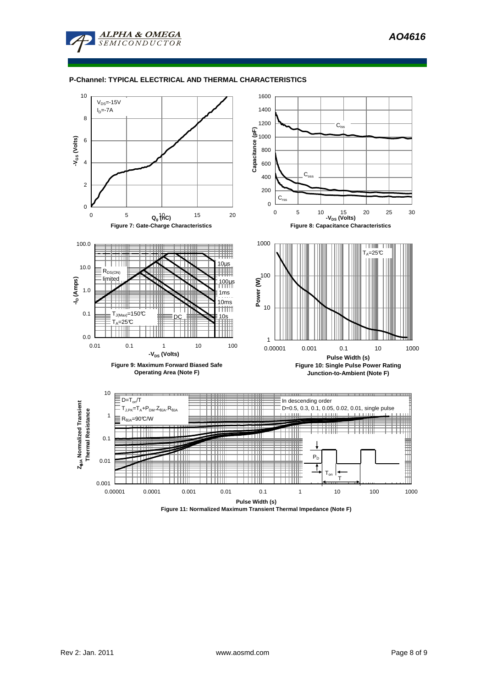



**Figure 11: Normalized Maximum Transient Thermal Impedance (Note F)**